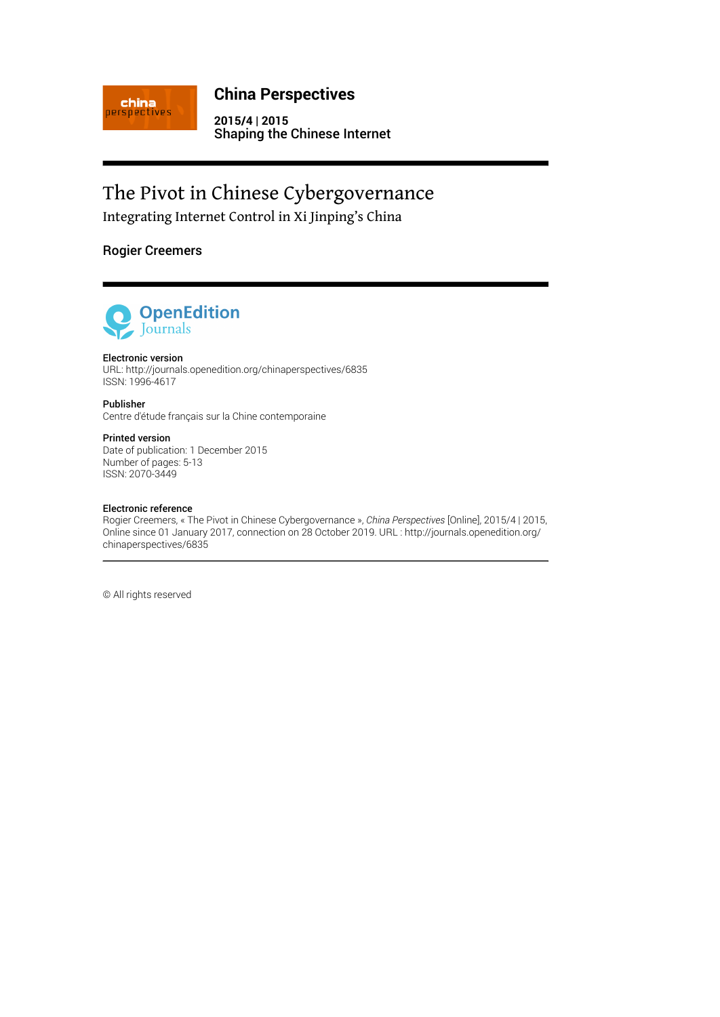

## **China Perspectives**

**2015/4 | 2015** Shaping the Chinese Internet

# The Pivot in Chinese Cybergovernance Integrating Internet Control in Xi Jinping's China

Rogier Creemers



## Electronic version

URL:<http://journals.openedition.org/chinaperspectives/6835> ISSN: 1996-4617

Publisher Centre d'étude français sur la Chine contemporaine

#### Printed version

Date of publication: 1 December 2015 Number of pages: 5-13 ISSN: 2070-3449

#### Electronic reference

Rogier Creemers, « The Pivot in Chinese Cybergovernance », *China Perspectives* [Online], 2015/4 | 2015, Online since 01 January 2017, connection on 28 October 2019. URL : http://journals.openedition.org/ chinaperspectives/6835

© All rights reserved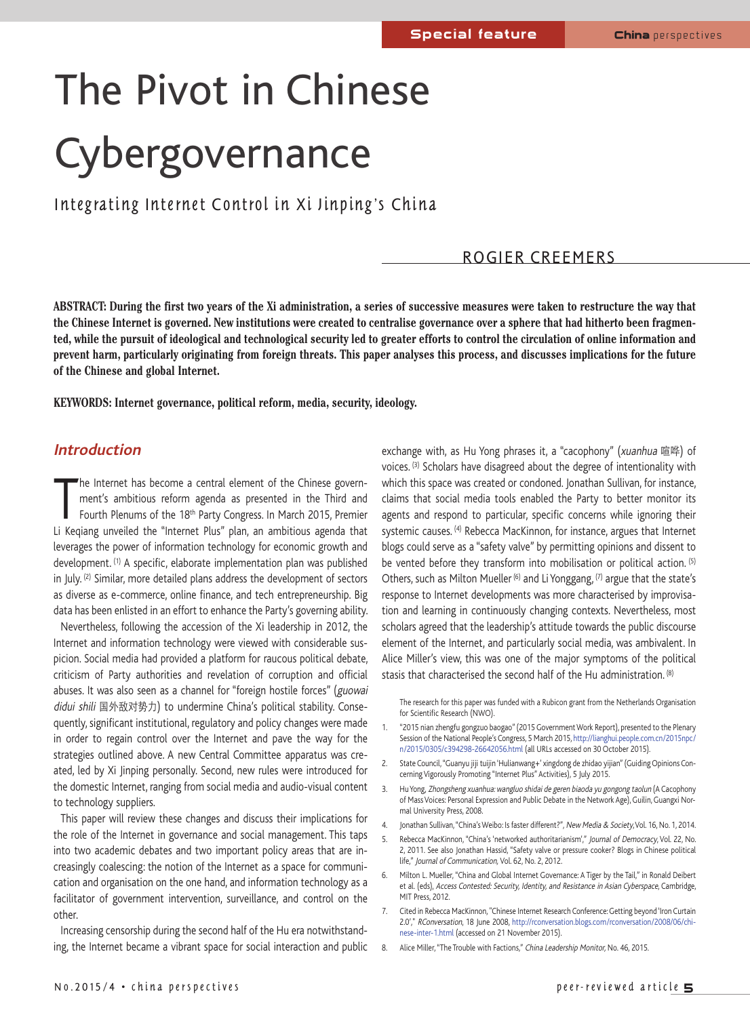# The Pivot in Chinese Cybergovernance

# Integrating Internet Control in Xi Jinping's China

## ROGIER CREEMERS

ABSTRACT: During the first two years of the Xi administration, a series of successive measures were taken to restructure the way that the Chinese Internet is governed. New institutions were created to centralise governance over a sphere that had hitherto been fragmented, while the pursuit of ideological and technological security led to greater efforts to control the circulation of online information and prevent harm, particularly originating from foreign threats. This paper analyses this process, and discusses implications for the future **of the Chinese and global Internet.**

**KEYWORDS: Internet governance, political reform, media, security, ideology.**

## **Introduction**

The Internet has become a central element of the Chinese government's ambitious reform agenda as presented in the Third and<br>Fourth Plenums of the 18<sup>th</sup> Party Congress. In March 2015, Premier<br>Li Keqiang unveiled the "Inter The Internet has become a central element of the Chinese government's ambitious reform agenda as presented in the Third and Fourth Plenums of the 18<sup>th</sup> Party Congress. In March 2015, Premier leverages the power of information technology for economic growth and development. (1) A specific, elaborate implementation plan was published in July. (2) Similar, more detailed plans address the development of sectors as diverse as e-commerce, online finance, and tech entrepreneurship. Big data has been enlisted in an effort to enhance the Party's governing ability.

Nevertheless, following the accession of the Xi leadership in 2012, the Internet and information technology were viewed with considerable suspicion. Social media had provided a platform for raucous political debate, criticism of Party authorities and revelation of corruption and official abuses. It was also seen as a channel for "foreign hostile forces" (guowai didui shili 国外敌对势力) to undermine China's political stability. Consequently, significant institutional, regulatory and policy changes were made in order to regain control over the Internet and pave the way for the strategies outlined above. A new Central Committee apparatus was created, led by Xi Jinping personally. Second, new rules were introduced for the domestic Internet, ranging from social media and audio-visual content to technology suppliers.

This paper will review these changes and discuss their implications for the role of the Internet in governance and social management. This taps into two academic debates and two important policy areas that are increasingly coalescing: the notion of the Internet as a space for communication and organisation on the one hand, and information technology as a facilitator of government intervention, surveillance, and control on the other.

Increasing censorship during the second half of the Hu era notwithstanding, the Internet became a vibrant space for social interaction and public

exchange with, as Hu Yong phrases it, a "cacophony" (xuanhua 喧哗) of voices. (3) Scholars have disagreed about the degree of intentionality with which this space was created or condoned. Jonathan Sullivan, for instance, claims that social media tools enabled the Party to better monitor its agents and respond to particular, specific concerns while ignoring their systemic causes. <sup>(4)</sup> Rebecca MacKinnon, for instance, argues that Internet blogs could serve as a "safety valve" by permitting opinions and dissent to be vented before they transform into mobilisation or political action. (5) Others, such as Milton Mueller<sup>(6)</sup> and Li Yonggang, <sup>(7)</sup> argue that the state's response to Internet developments was more characterised by improvisation and learning in continuously changing contexts. Nevertheless, most scholars agreed that the leadership's attitude towards the public discourse element of the Internet, and particularly social media, was ambivalent. In Alice Miller's view, this was one of the major symptoms of the political stasis that characterised the second half of the Hu administration. (8)

The research for this paper was funded with a Rubicon grant from the Netherlands Organisation for Scientific Research (NWO).

- 1. "2015 nian zhengfu gongzuo baogao" (2015 Government Work Report), presented to the Plenary Session of the National People's Congress, 5 March 2015, http://lianghui.people.com.cn/2015npc/ n/2015/0305/c394298-26642056.html (all URLs accessed on 30 October 2015).
- 2. State Council,"Guanyu jiji tuijin 'Hulianwang+' xingdong de zhidao yijian"(Guiding Opinions Concerning Vigorously Promoting "Internet Plus" Activities), 5 July 2015.
- 3. Hu Yong, Zhongsheng xuanhua: wangluo shidai de geren biaoda yu gongong taolun (A Cacophony of Mass Voices: Personal Expression and Public Debate in the Network Age), Guilin, Guangxi Normal University Press, 2008.
- 4. Jonathan Sullivan, "China's Weibo: Is faster different?", New Media & Society, Vol. 16, No. 1, 2014.
- 5. Rebecca MacKinnon,"China's 'networked authoritarianism'," Journal of Democracy, Vol. 22, No. 2, 2011. See also Jonathan Hassid, "Safety valve or pressure cooker? Blogs in Chinese political life," Journal of Communication, Vol. 62, No. 2, 2012.
- 6. Milton L. Mueller,"China and Global Internet Governance: A Tiger by the Tail," in Ronald Deibert et al. (eds), Access Contested: Security, Identity, and Resistance in Asian Cyberspace, Cambridge, MIT Press, 2012.
- 7. Cited in Rebecca MacKinnon,"Chinese Internet Research Conference:Getting beyond 'Iron Curtain 2.0'," RConversation, 18 June 2008, http://rconversation.blogs.com/rconversation/2008/06/chinese-inter-1.html (accessed on 21 November 2015).
- 8. Alice Miller, "The Trouble with Factions," China Leadership Monitor, No. 46, 2015.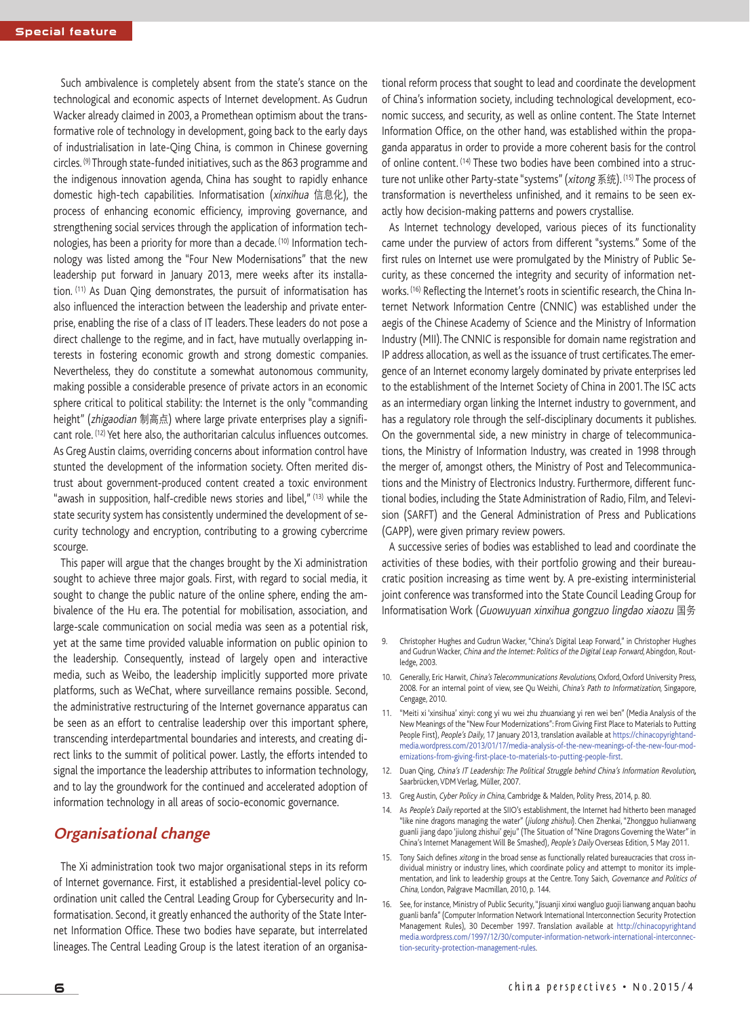Such ambivalence is completely absent from the state's stance on the technological and economic aspects of Internet development. As Gudrun Wacker already claimed in 2003, a Promethean optimism about the transformative role of technology in development, going back to the early days of industrialisation in late-Qing China, is common in Chinese governing circles. (9) Through state-funded initiatives, such as the 863 programme and the indigenous innovation agenda, China has sought to rapidly enhance domestic high-tech capabilities. Informatisation (xinxihua 信息化), the process of enhancing economic efficiency, improving governance, and strengthening social services through the application of information technologies, has been a priority for more than a decade. (10) Information technology was listed among the "Four New Modernisations" that the new leadership put forward in January 2013, mere weeks after its installation. (11) As Duan Qing demonstrates, the pursuit of informatisation has also influenced the interaction between the leadership and private enterprise, enabling the rise of a class of IT leaders. These leaders do not pose a direct challenge to the regime, and in fact, have mutually overlapping interests in fostering economic growth and strong domestic companies. Nevertheless, they do constitute a somewhat autonomous community, making possible a considerable presence of private actors in an economic sphere critical to political stability: the Internet is the only "commanding height" (zhigaodian 制高点) where large private enterprises play a significant role. (12) Yet here also, the authoritarian calculus influences outcomes. As Greg Austin claims, overriding concerns about information control have stunted the development of the information society. Often merited distrust about government-produced content created a toxic environment "awash in supposition, half-credible news stories and libel," (13) while the state security system has consistently undermined the development of security technology and encryption, contributing to a growing cybercrime scourge.

This paper will argue that the changes brought by the Xi administration sought to achieve three major goals. First, with regard to social media, it sought to change the public nature of the online sphere, ending the ambivalence of the Hu era. The potential for mobilisation, association, and large-scale communication on social media was seen as a potential risk, yet at the same time provided valuable information on public opinion to the leadership. Consequently, instead of largely open and interactive media, such as Weibo, the leadership implicitly supported more private platforms, such as WeChat, where surveillance remains possible. Second, the administrative restructuring of the Internet governance apparatus can be seen as an effort to centralise leadership over this important sphere, transcending interdepartmental boundaries and interests, and creating direct links to the summit of political power. Lastly, the efforts intended to signal the importance the leadership attributes to information technology, and to lay the groundwork for the continued and accelerated adoption of information technology in all areas of socio-economic governance.

## **Organisational change**

The Xi administration took two major organisational steps in its reform of Internet governance. First, it established a presidential-level policy coordination unit called the Central Leading Group for Cybersecurity and Informatisation. Second, it greatly enhanced the authority of the State Internet Information Office. These two bodies have separate, but interrelated lineages. The Central Leading Group is the latest iteration of an organisational reform process that sought to lead and coordinate the development of China's information society, including technological development, economic success, and security, as well as online content. The State Internet Information Office, on the other hand, was established within the propaganda apparatus in order to provide a more coherent basis for the control of online content. (14) These two bodies have been combined into a structure not unlike other Party-state "systems" (xitong 系统). (15) The process of transformation is nevertheless unfinished, and it remains to be seen exactly how decision-making patterns and powers crystallise.

As Internet technology developed, various pieces of its functionality came under the purview of actors from different "systems." Some of the first rules on Internet use were promulgated by the Ministry of Public Security, as these concerned the integrity and security of information networks. (16) Reflecting the Internet's roots in scientific research, the China Internet Network Information Centre (CNNIC) was established under the aegis of the Chinese Academy of Science and the Ministry of Information Industry (MII). The CNNIC is responsible for domain name registration and IP address allocation, as well as the issuance of trust certificates.The emergence of an Internet economy largely dominated by private enterprises led to the establishment of the Internet Society of China in 2001.The ISC acts as an intermediary organ linking the Internet industry to government, and has a regulatory role through the self-disciplinary documents it publishes. On the governmental side, a new ministry in charge of telecommunications, the Ministry of Information Industry, was created in 1998 through the merger of, amongst others, the Ministry of Post and Telecommunications and the Ministry of Electronics Industry. Furthermore, different functional bodies, including the State Administration of Radio, Film, and Television (SARFT) and the General Administration of Press and Publications (GAPP), were given primary review powers.

A successive series of bodies was established to lead and coordinate the activities of these bodies, with their portfolio growing and their bureaucratic position increasing as time went by. A pre-existing interministerial joint conference was transformed into the State Council Leading Group for Informatisation Work (Guowuyuan xinxihua gongzuo lingdao xiaozu 国务

- 9. Christopher Hughes and Gudrun Wacker, "China's Digital Leap Forward," in Christopher Hughes and Gudrun Wacker, China and the Internet: Politics of the Digital Leap Forward, Abingdon, Routledge, 2003.
- 10. Generally, Eric Harwit, China's Telecommunications Revolutions, Oxford, Oxford University Press, 2008. For an internal point of view, see Qu Weizhi, China's Path to Informatization, Singapore, Cengage, 2010.
- 11. "Meiti xi 'xinsihua' xinyi: cong yi wu wei zhu zhuanxiang yi ren wei ben" (Media Analysis of the New Meanings of the "New Four Modernizations": From Giving First Place to Materials to Putting People First), People's Daily, 17 January 2013, translation available at https://chinacopyrightandmedia.wordpress.com/2013/01/17/media-analysis-of-the-new-meanings-of-the-new-four-modernizations-from-giving-first-place-to-materials-to-putting-people-first.
- 12. Duan Qing, China's IT Leadership: The Political Struggle behind China's Information Revolution**,** Saarbrücken,VDMVerlag, Müller, 2007.
- 13. Greg Austin, Cyber Policy in China, Cambridge & Malden, Polity Press, 2014, p. 80.
- 14. As People's Daily reported at the SIIO's establishment, the Internet had hitherto been managed "like nine dragons managing the water" (jiulong zhishui). Chen Zhenkai, "Zhongguo hulianwang guanli jiang dapo 'jiulong zhishui' geju"(The Situation of"Nine Dragons Governing the Water"in China's Internet Management Will Be Smashed), People's Daily Overseas Edition, 5 May 2011.
- 15. Tony Saich defines xitong in the broad sense as functionally related bureaucracies that cross individual ministry or industry lines, which coordinate policy and attempt to monitor its implementation, and link to leadership groups at the Centre. Tony Saich, Governance and Politics of China, London, Palgrave Macmillan, 2010, p. 144.
- 16. See, for instance, Ministry of Public Security,"Jisuanji xinxi wangluo guoji lianwang anquan baohu guanli banfa"(Computer Information Network International Interconnection Security Protection Management Rules), 30 December 1997. Translation available at http://chinacopyrightand media.wordpress.com/1997/12/30/computer-information-network-international-interconnection-security-protection-management-rules.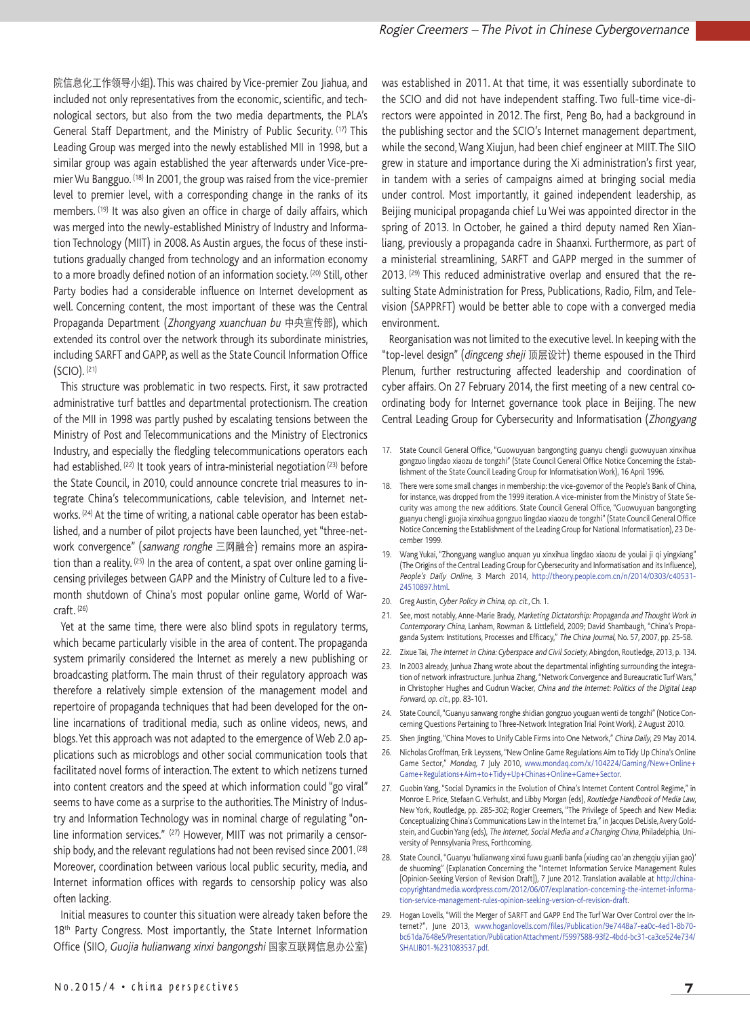院信息化工作领导小组). This was chaired by Vice-premier Zou Jiahua, and included not only representatives from the economic, scientific, and technological sectors, but also from the two media departments, the PLA's General Staff Department, and the Ministry of Public Security. (17) This Leading Group was merged into the newly established MII in 1998, but a similar group was again established the year afterwards under Vice-premier Wu Bangguo. (18) In 2001, the group was raised from the vice-premier level to premier level, with a corresponding change in the ranks of its members. (19) It was also given an office in charge of daily affairs, which was merged into the newly-established Ministry of Industry and Information Technology (MIIT) in 2008. As Austin argues, the focus of these institutions gradually changed from technology and an information economy to a more broadly defined notion of an information society.<sup>(20)</sup> Still, other Party bodies had a considerable influence on Internet development as well. Concerning content, the most important of these was the Central Propaganda Department (Zhongyang xuanchuan bu 中央宣传部), which extended its control over the network through its subordinate ministries, including SARFT and GAPP, as well as the State Council Information Office  $(SCIO).$   $(21)$ 

This structure was problematic in two respects. First, it saw protracted administrative turf battles and departmental protectionism. The creation of the MII in 1998 was partly pushed by escalating tensions between the Ministry of Post and Telecommunications and the Ministry of Electronics Industry, and especially the fledgling telecommunications operators each had established. (22) It took years of intra-ministerial negotiation (23) before the State Council, in 2010, could announce concrete trial measures to integrate China's telecommunications, cable television, and Internet networks. (24) At the time of writing, a national cable operator has been established, and a number of pilot projects have been launched, yet "three-network convergence" (sanwang ronghe 三网融合) remains more an aspiration than a reality. (25) In the area of content, a spat over online gaming licensing privileges between GAPP and the Ministry of Culture led to a fivemonth shutdown of China's most popular online game, World of Warcraft. (26)

Yet at the same time, there were also blind spots in regulatory terms, which became particularly visible in the area of content. The propaganda system primarily considered the Internet as merely a new publishing or broadcasting platform. The main thrust of their regulatory approach was therefore a relatively simple extension of the management model and repertoire of propaganda techniques that had been developed for the online incarnations of traditional media, such as online videos, news, and blogs.Yet this approach was not adapted to the emergence of Web 2.0 applications such as microblogs and other social communication tools that facilitated novel forms of interaction. The extent to which netizens turned into content creators and the speed at which information could "go viral" seems to have come as a surprise to the authorities.The Ministry of Industry and Information Technology was in nominal charge of regulating "online information services." (27) However, MIIT was not primarily a censorship body, and the relevant regulations had not been revised since 2001.<sup>(28)</sup> Moreover, coordination between various local public security, media, and Internet information offices with regards to censorship policy was also often lacking.

Initial measures to counter this situation were already taken before the 18<sup>th</sup> Party Congress. Most importantly, the State Internet Information Office (SIIO, Guojia hulianwang xinxi bangongshi 国家互联网信息办公室) was established in 2011. At that time, it was essentially subordinate to the SCIO and did not have independent staffing. Two full-time vice-directors were appointed in 2012. The first, Peng Bo, had a background in the publishing sector and the SCIO's Internet management department, while the second,Wang Xiujun, had been chief engineer at MIIT. The SIIO grew in stature and importance during the Xi administration's first year, in tandem with a series of campaigns aimed at bringing social media under control. Most importantly, it gained independent leadership, as Beijing municipal propaganda chief Lu Wei was appointed director in the spring of 2013. In October, he gained a third deputy named Ren Xianliang, previously a propaganda cadre in Shaanxi. Furthermore, as part of a ministerial streamlining, SARFT and GAPP merged in the summer of 2013. (29) This reduced administrative overlap and ensured that the resulting State Administration for Press, Publications, Radio, Film, and Television (SAPPRFT) would be better able to cope with a converged media environment.

Reorganisation was not limited to the executive level. In keeping with the "top-level design" (dingceng sheji 顶层设计) theme espoused in the Third Plenum, further restructuring affected leadership and coordination of cyber affairs. On 27 February 2014, the first meeting of a new central coordinating body for Internet governance took place in Beijing. The new Central Leading Group for Cybersecurity and Informatisation (Zhongyang

- 17. State Council General Office, "Guowuyuan bangongting guanyu chengli guowuyuan xinxihua gongzuo lingdao xiaozu de tongzhi" (State Council General Office Notice Concerning the Establishment of the State Council Leading Group for Informatisation Work), 16 April 1996.
- 18. There were some small changes in membership: the vice-governor of the People's Bank of China, for instance, was dropped from the 1999 iteration.A vice-minister from the Ministry of State Security was among the new additions. State Council General Office, "Guowuyuan bangongting guanyu chengli guojia xinxihua gongzuo lingdao xiaozu de tongzhi"(State Council General Office Notice Concerning the Establishment of the Leading Group for National Informatisation), 23 December 1999.
- 19. Wang Yukai, "Zhongyang wangluo anquan yu xinxihua lingdao xiaozu de youlai ji qi yingxiang" (The Origins of the Central Leading Group for Cybersecurity and Informatisation and its Influence), People's Daily Online, 3 March 2014, http://theory.people.com.cn/n/2014/0303/c40531- 24510897.html.
- 20. Greg Austin, Cyber Policy in China, op. cit., Ch. 1.
- 21. See, most notably, Anne-Marie Brady, Marketing Dictatorship: Propaganda and Thought Work in Contemporary China, Lanham, Rowman & Littlefield, 2009; David Shambaugh, "China's Propaganda System: Institutions, Processes and Efficacy," The China Journal, No. 57, 2007, pp. 25-58.
- 22. Zixue Tai, The Internet in China: Cyberspace and Civil Society, Abingdon, Routledge, 2013, p. 134.
- 23. In 2003 already, Junhua Zhang wrote about the departmental infighting surrounding the integration of network infrastructure. Junhua Zhang, "Network Convergence and Bureaucratic Turf Wars," in Christopher Hughes and Gudrun Wacker, China and the Internet: Politics of the Digital Leap Forward, op. cit., pp. 83-101.
- 24. State Council,"Guanyu sanwang ronghe shidian gongzuo youguan wenti de tongzhi"(Notice Concerning Questions Pertaining to Three-Network Integration Trial Point Work), 2 August 2010.
- 25. Shen Jingting,"China Moves to Unify Cable Firms into One Network," China Daily, 29 May 2014.
- 26. Nicholas Groffman, Erik Leyssens,"New Online Game Regulations Aim to Tidy Up China's Online Game Sector," Mondaq, 7 July 2010, www.mondaq.com/x/104224/Gaming/New+Online+ Game+Regulations+Aim+to+Tidy+Up+Chinas+Online+Game+Sector.
- 27. Guobin Yang, "Social Dynamics in the Evolution of China's Internet Content Control Regime," in Monroe E. Price, Stefaan G.Verhulst, and Libby Morgan (eds), Routledge Handbook of Media Law, New York, Routledge, pp. 285-302; Rogier Creemers, "The Privilege of Speech and New Media: Conceptualizing China's Communications Law in the Internet Era," in Jacques DeLisle, Avery Goldstein, and Guobin Yang (eds), The Internet, Social Media and a Changing China, Philadelphia, University of Pennsylvania Press, Forthcoming.
- 28. State Council,"Guanyu 'hulianwang xinxi fuwu guanli banfa (xiuding cao'an zhengqiu yijian gao)' de shuoming" (Explanation Concerning the "Internet Information Service Management Rules [Opinion-Seeking Version of Revision Draft]), 7 June 2012. Translation available at http://chinacopyrightandmedia.wordpress.com/2012/06/07/explanation-concerning-the-internet-information-service-management-rules-opinion-seeking-version-of-revision-draft.
- 29. Hogan Lovells,"Will the Merger of SARFT and GAPP End The Turf War Over Control over the Internet?", June 2013, www.hoganlovells.com/files/Publication/9e7448a7-ea0c-4ed1-8b70 bc61da7648e5/Presentation/PublicationAttachment/f5997588-93f2-4bdd-bc31-ca3ce524e734/ SHALIB01-%231083537.pdf.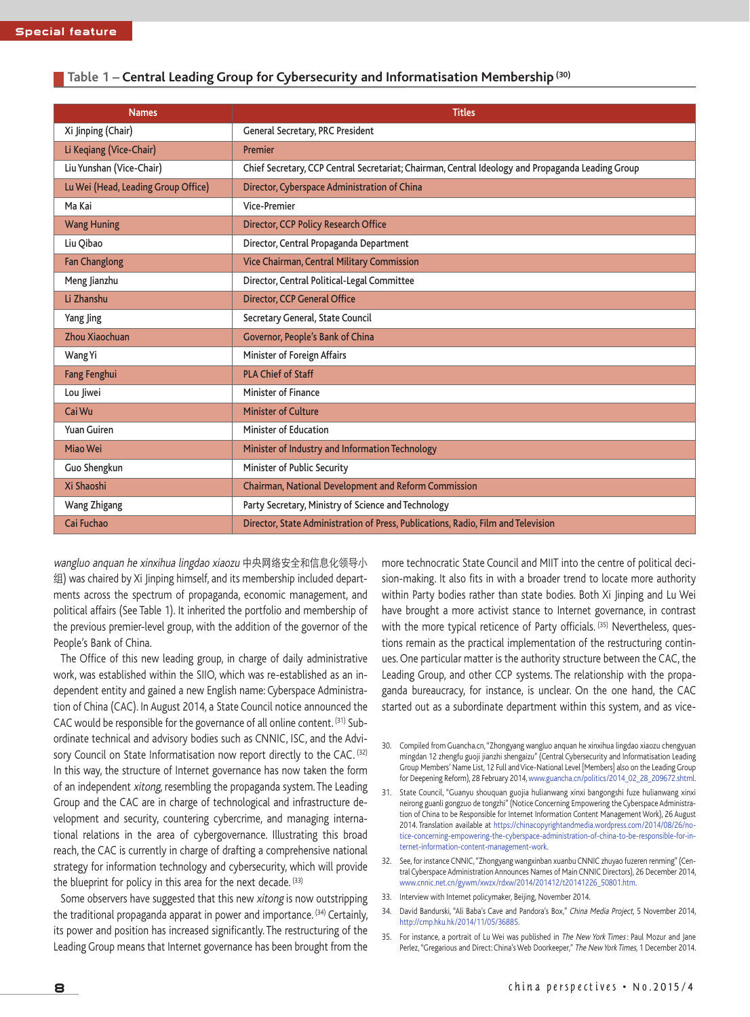#### **Table 1 – Central Leading Group for Cybersecurity and Informatisation Membership (30)**

| <b>Names</b>                        | <b>Titles</b>                                                                                     |
|-------------------------------------|---------------------------------------------------------------------------------------------------|
| Xi Jinping (Chair)                  | General Secretary, PRC President                                                                  |
| Li Keqiang (Vice-Chair)             | Premier                                                                                           |
| Liu Yunshan (Vice-Chair)            | Chief Secretary, CCP Central Secretariat; Chairman, Central Ideology and Propaganda Leading Group |
| Lu Wei (Head, Leading Group Office) | Director, Cyberspace Administration of China                                                      |
| Ma Kai                              | Vice-Premier                                                                                      |
| <b>Wang Huning</b>                  | Director, CCP Policy Research Office                                                              |
| Liu Oibao                           | Director, Central Propaganda Department                                                           |
| <b>Fan Changlong</b>                | Vice Chairman, Central Military Commission                                                        |
| Meng Jianzhu                        | Director, Central Political-Legal Committee                                                       |
| Li Zhanshu                          | <b>Director, CCP General Office</b>                                                               |
| Yang Jing                           | Secretary General, State Council                                                                  |
| <b>Zhou Xiaochuan</b>               | Governor, People's Bank of China                                                                  |
| Wang Yi                             | Minister of Foreign Affairs                                                                       |
| <b>Fang Fenghui</b>                 | <b>PLA Chief of Staff</b>                                                                         |
| Lou Jiwei                           | Minister of Finance                                                                               |
| Cai Wu                              | <b>Minister of Culture</b>                                                                        |
| <b>Yuan Guiren</b>                  | Minister of Education                                                                             |
| Miao Wei                            | Minister of Industry and Information Technology                                                   |
| Guo Shengkun                        | Minister of Public Security                                                                       |
| Xi Shaoshi                          | Chairman, National Development and Reform Commission                                              |
| Wang Zhigang                        | Party Secretary, Ministry of Science and Technology                                               |
| Cai Fuchao                          | Director, State Administration of Press, Publications, Radio, Film and Television                 |

wangluo anquan he xinxihua lingdao xiaozu 中央网络安全和信息化领导小 组) was chaired by Xi Jinping himself, and its membership included departments across the spectrum of propaganda, economic management, and political affairs (See Table 1). It inherited the portfolio and membership of the previous premier-level group, with the addition of the governor of the People's Bank of China.

The Office of this new leading group, in charge of daily administrative work, was established within the SIIO, which was re-established as an independent entity and gained a new English name: Cyberspace Administration of China (CAC). In August 2014, a State Council notice announced the CAC would be responsible for the governance of all online content. (31) Subordinate technical and advisory bodies such as CNNIC, ISC, and the Advisory Council on State Informatisation now report directly to the CAC. <sup>(32)</sup> In this way, the structure of Internet governance has now taken the form of an independent xitong, resembling the propaganda system. The Leading Group and the CAC are in charge of technological and infrastructure development and security, countering cybercrime, and managing international relations in the area of cybergovernance. Illustrating this broad reach, the CAC is currently in charge of drafting a comprehensive national strategy for information technology and cybersecurity, which will provide the blueprint for policy in this area for the next decade. (33)

Some observers have suggested that this new xitong is now outstripping the traditional propaganda apparat in power and importance. <sup>(34)</sup> Certainly, its power and position has increased significantly. The restructuring of the Leading Group means that Internet governance has been brought from the

more technocratic State Council and MIIT into the centre of political decision-making. It also fits in with a broader trend to locate more authority within Party bodies rather than state bodies. Both Xi Jinping and Lu Wei have brought a more activist stance to Internet governance, in contrast with the more typical reticence of Party officials. (35) Nevertheless, questions remain as the practical implementation of the restructuring continues. One particular matter is the authority structure between the CAC, the Leading Group, and other CCP systems. The relationship with the propaganda bureaucracy, for instance, is unclear. On the one hand, the CAC started out as a subordinate department within this system, and as vice-

- 30. Compiled from Guancha.cn,"Zhongyang wangluo anquan he xinxihua lingdao xiaozu chengyuan mingdan 12 zhengfu guoji jianzhi shengaizu"(Central Cybersecurity and Informatisation Leading Group Members' Name List, 12 Full and Vice-National Level [Members] also on the Leading Group for Deepening Reform), 28 February 2014,www.guancha.cn/politics/2014\_02\_28\_209672.shtml.
- 31. State Council, "Guanyu shouquan guojia hulianwang xinxi bangongshi fuze hulianwang xinxi neirong guanli gongzuo de tongzhi"(Notice Concerning Empowering the Cyberspace Administration of China to be Responsible for Internet Information Content Management Work), 26 August 2014. Translation available at https://chinacopyrightandmedia.wordpress.com/2014/08/26/notice-concerning-empowering-the-cyberspace-administration-of-china-to-be-responsible-for-internet-information-content-management-work.
- 32. See, for instance CNNIC,"Zhongyang wangxinban xuanbu CNNIC zhuyao fuzeren renming"(Central Cyberspace Administration Announces Names of Main CNNIC Directors), 26 December 2014, www.cnnic.net.cn/gywm/xwzx/rdxw/2014/201412/t20141226\_50801.htm.
- 33. Interview with Internet policymaker, Beijing, November 2014.
- 34. David Bandurski, "Ali Baba's Cave and Pandora's Box," China Media Project, 5 November 2014, http://cmp.hku.hk/2014/11/05/36885.
- 35. For instance, a portrait of Lu Wei was published in The New York Times: Paul Mozur and Jane Perlez, "Gregarious and Direct: China's Web Doorkeeper," The New York Times, 1 December 2014.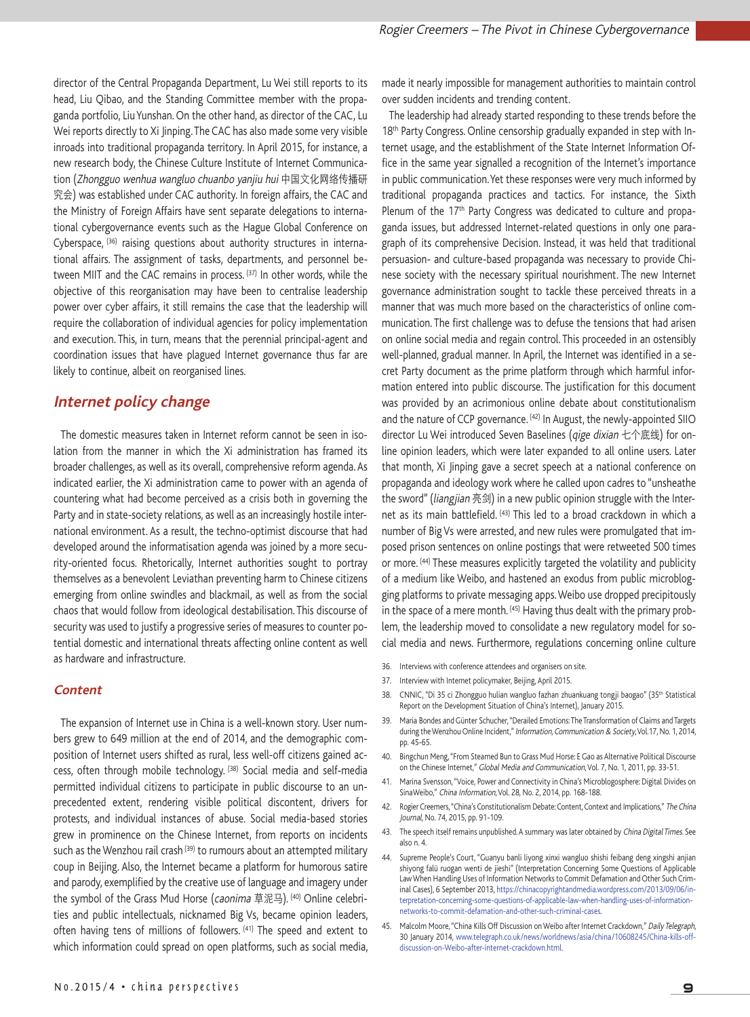director of the Central Propaganda Department, Lu Wei still reports to its head, Liu Qibao, and the Standing Committee member with the propaganda portfolio, Liu Yunshan. On the other hand, as director of the CAC, Lu Wei reports directly to Xi Jinping.The CAC has also made some very visible inroads into traditional propaganda territory. In April 2015, for instance, a new research body, the Chinese Culture Institute of Internet Communication (Zhongguo wenhua wangluo chuanbo yanjiu hui 中国文化网络传播研 究会) was established under CAC authority. In foreign affairs, the CAC and the Ministry of Foreign Affairs have sent separate delegations to international cybergovernance events such as the Hague Global Conference on Cyberspace, <sup>(36)</sup> raising questions about authority structures in international affairs. The assignment of tasks, departments, and personnel between MIIT and the CAC remains in process. (37) In other words, while the objective of this reorganisation may have been to centralise leadership power over cyber affairs, it still remains the case that the leadership will require the collaboration of individual agencies for policy implementation and execution. This, in turn, means that the perennial principal-agent and coordination issues that have plagued Internet governance thus far are likely to continue, albeit on reorganised lines.

## **Internet policy change**

The domestic measures taken in Internet reform cannot be seen in isolation from the manner in which the Xi administration has framed its broader challenges, as well as its overall, comprehensive reform agenda. As indicated earlier, the Xi administration came to power with an agenda of countering what had become perceived as a crisis both in governing the Party and in state-society relations, as well as an increasingly hostile international environment. As a result, the techno-optimist discourse that had developed around the informatisation agenda was joined by a more security-oriented focus. Rhetorically, Internet authorities sought to portray themselves as a benevolent Leviathan preventing harm to Chinese citizens emerging from online swindles and blackmail, as well as from the social chaos that would follow from ideological destabilisation. This discourse of security was used to justify a progressive series of measures to counter potential domestic and international threats affecting online content as well as hardware and infrastructure.

## **Content**

The expansion of Internet use in China is a well-known story. User numbers grew to 649 million at the end of 2014, and the demographic composition of Internet users shifted as rural, less well-off citizens gained access, often through mobile technology. (38) Social media and self-media permitted individual citizens to participate in public discourse to an unprecedented extent, rendering visible political discontent, drivers for protests, and individual instances of abuse. Social media-based stories grew in prominence on the Chinese Internet, from reports on incidents such as the Wenzhou rail crash (39) to rumours about an attempted military coup in Beijing. Also, the Internet became a platform for humorous satire and parody, exemplified by the creative use of language and imagery under the symbol of the Grass Mud Horse (caonima 草泥马). (40) Online celebrities and public intellectuals, nicknamed Big Vs, became opinion leaders, often having tens of millions of followers. (41) The speed and extent to which information could spread on open platforms, such as social media,

The leadership had already started responding to these trends before the 18<sup>th</sup> Party Congress. Online censorship gradually expanded in step with Internet usage, and the establishment of the State Internet Information Office in the same year signalled a recognition of the Internet's importance in public communication.Yet these responses were very much informed by traditional propaganda practices and tactics. For instance, the Sixth Plenum of the 17<sup>th</sup> Party Congress was dedicated to culture and propaganda issues, but addressed Internet-related questions in only one paragraph of its comprehensive Decision. Instead, it was held that traditional persuasion- and culture-based propaganda was necessary to provide Chinese society with the necessary spiritual nourishment. The new Internet governance administration sought to tackle these perceived threats in a manner that was much more based on the characteristics of online communication. The first challenge was to defuse the tensions that had arisen on online social media and regain control. This proceeded in an ostensibly well-planned, gradual manner. In April, the Internet was identified in a secret Party document as the prime platform through which harmful information entered into public discourse. The justification for this document was provided by an acrimonious online debate about constitutionalism and the nature of CCP governance. <sup>(42)</sup> In August, the newly-appointed SIIO director Lu Wei introduced Seven Baselines (qige dixian 七个底线) for online opinion leaders, which were later expanded to all online users. Later that month, Xi Jinping gave a secret speech at a national conference on propaganda and ideology work where he called upon cadres to "unsheathe the sword" (liangjian 亮剑) in a new public opinion struggle with the Internet as its main battlefield. (43) This led to a broad crackdown in which a number of Big Vs were arrested, and new rules were promulgated that imposed prison sentences on online postings that were retweeted 500 times or more. (44) These measures explicitly targeted the volatility and publicity of a medium like Weibo, and hastened an exodus from public microblogging platforms to private messaging apps.Weibo use dropped precipitously in the space of a mere month. <sup>(45)</sup> Having thus dealt with the primary problem, the leadership moved to consolidate a new regulatory model for social media and news. Furthermore, regulations concerning online culture

- 36. Interviews with conference attendees and organisers on site.
- 37. Interview with Internet policymaker, Beijing, April 2015.
- 38. CNNIC, "Di 35 ci Zhongguo hulian wangluo fazhan zhuankuang tongji baogao" (35<sup>th</sup> Statistical Report on the Development Situation of China's Internet), January 2015.
- 39. Maria Bondes and Günter Schucher, "Derailed Emotions: The Transformation of Claims and Targets during the Wenzhou Online Incident," Information, Communication & Society, Vol.17, No. 1, 2014, pp. 45-65.
- 40. Bingchun Meng,"From Steamed Bun to Grass Mud Horse: E Gao as Alternative Political Discourse on the Chinese Internet," Global Media and Communication, Vol. 7, No. 1, 2011, pp. 33-51.
- 41. Marina Svensson,"Voice, Power and Connectivity in China's Microblogosphere: Digital Divides on SinaWeibo," China Information, Vol. 28, No. 2, 2014, pp. 168-188.
- 42. Rogier Creemers, "China's Constitutionalism Debate: Content, Context and Implications," The China Journal, No. 74, 2015, pp. 91-109.
- 43. The speech itself remains unpublished. A summary was later obtained by China Digital Times. See also n. 4.
- 44. Supreme People's Court, "Guanyu banli liyong xinxi wangluo shishi feibang deng xingshi anjian shiyong falü ruogan wenti de jieshi" (Interpretation Concerning Some Questions of Applicable LawWhen Handling Uses of Information Networks to Commit Defamation and Other Such Criminal Cases), 6 September 2013, https://chinacopyrightandmedia.wordpress.com/2013/09/06/interpretation-concerning-some-questions-of-applicable-law-when-handling-uses-of-informationnetworks-to-commit-defamation-and-other-such-criminal-cases.
- 45. Malcolm Moore, "China Kills Off Discussion on Weibo after Internet Crackdown," Daily Telegraph, 30 January 2014, www.telegraph.co.uk/news/worldnews/asia/china/10608245/China-kills-offdiscussion-on-Weibo-after-internet-crackdown.html.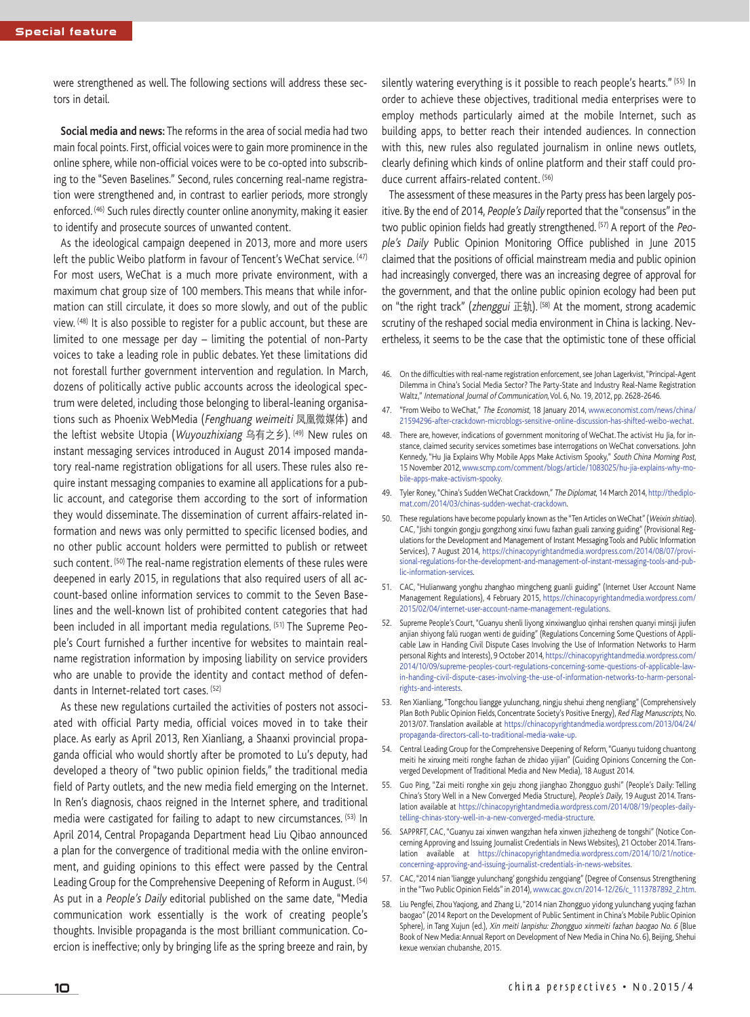were strengthened as well. The following sections will address these sectors in detail.

**Social media and news:** The reforms in the area of social media had two main focal points. First, official voices were to gain more prominence in the online sphere, while non-official voices were to be co-opted into subscribing to the "Seven Baselines." Second, rules concerning real-name registration were strengthened and, in contrast to earlier periods, more strongly enforced. (46) Such rules directly counter online anonymity, making it easier to identify and prosecute sources of unwanted content.

As the ideological campaign deepened in 2013, more and more users left the public Weibo platform in favour of Tencent's WeChat service. <sup>(47)</sup> For most users, WeChat is a much more private environment, with a maximum chat group size of 100 members. This means that while information can still circulate, it does so more slowly, and out of the public view. (48) It is also possible to register for a public account, but these are limited to one message per day – limiting the potential of non-Party voices to take a leading role in public debates. Yet these limitations did not forestall further government intervention and regulation. In March, dozens of politically active public accounts across the ideological spectrum were deleted, including those belonging to liberal-leaning organisations such as Phoenix WebMedia (Fenghuang weimeiti 凤凰微媒体) and the leftist website Utopia (Wuyouzhixiang 乌有之乡). (49) New rules on instant messaging services introduced in August 2014 imposed mandatory real-name registration obligations for all users. These rules also require instant messaging companies to examine all applications for a public account, and categorise them according to the sort of information they would disseminate. The dissemination of current affairs-related information and news was only permitted to specific licensed bodies, and no other public account holders were permitted to publish or retweet such content. (50) The real-name registration elements of these rules were deepened in early 2015, in regulations that also required users of all account-based online information services to commit to the Seven Baselines and the well-known list of prohibited content categories that had been included in all important media regulations. (51) The Supreme People's Court furnished a further incentive for websites to maintain realname registration information by imposing liability on service providers who are unable to provide the identity and contact method of defendants in Internet-related tort cases. (52)

As these new regulations curtailed the activities of posters not associated with official Party media, official voices moved in to take their place. As early as April 2013, Ren Xianliang, a Shaanxi provincial propaganda official who would shortly after be promoted to Lu's deputy, had developed a theory of "two public opinion fields," the traditional media field of Party outlets, and the new media field emerging on the Internet. In Ren's diagnosis, chaos reigned in the Internet sphere, and traditional media were castigated for failing to adapt to new circumstances. (53) In April 2014, Central Propaganda Department head Liu Qibao announced a plan for the convergence of traditional media with the online environment, and guiding opinions to this effect were passed by the Central Leading Group for the Comprehensive Deepening of Reform in August. (54) As put in a People's Daily editorial published on the same date, "Media communication work essentially is the work of creating people's thoughts. Invisible propaganda is the most brilliant communication. Coercion is ineffective; only by bringing life as the spring breeze and rain, by

silently watering everything is it possible to reach people's hearts." (55) In order to achieve these objectives, traditional media enterprises were to employ methods particularly aimed at the mobile Internet, such as building apps, to better reach their intended audiences. In connection with this, new rules also regulated journalism in online news outlets, clearly defining which kinds of online platform and their staff could produce current affairs-related content. (56)

The assessment of these measures in the Party press has been largely positive. By the end of 2014, People's Daily reported that the "consensus" in the two public opinion fields had greatly strengthened. <sup>(57)</sup> A report of the People's Daily Public Opinion Monitoring Office published in June 2015 claimed that the positions of official mainstream media and public opinion had increasingly converged, there was an increasing degree of approval for the government, and that the online public opinion ecology had been put on "the right track" (zhenggui 正轨). <a><a>>
1</a>
At the moment, strong academic scrutiny of the reshaped social media environment in China is lacking. Nevertheless, it seems to be the case that the optimistic tone of these official

- 46. On the difficulties with real-name registration enforcement, see Johan Lagerkvist, "Principal-Agent Dilemma in China's Social Media Sector? The Party-State and Industry Real-Name Registration Waltz," International Journal of Communication, Vol. 6, No. 19, 2012, pp. 2628-2646.
- 47. "From Weibo to WeChat," The Economist, 18 January 2014, www.economist.com/news/china/ 21594296-after-crackdown-microblogs-sensitive-online-discussion-has-shifted-weibo-wechat.
- 48. There are, however, indications of government monitoring of WeChat. The activist Hu Jia, for instance, claimed security services sometimes base interrogations on WeChat conversations. John Kennedy, "Hu Jia Explains Why Mobile Apps Make Activism Spooky," South China Morning Post, 15 November 2012,www.scmp.com/comment/blogs/article/1083025/hu-jia-explains-why-mobile-apps-make-activism-spooky.
- 49. Tyler Roney, "China's Sudden WeChat Crackdown," The Diplomat, 14 March 2014, http://thediplomat.com/2014/03/chinas-sudden-wechat-crackdown.
- 50. These regulations have become popularly known as the "Ten Articles on WeChat" (Weixin shitiao). CAC,"Jishi tongxin gongju gongzhong xinxi fuwu fazhan guali zanxing guiding"(Provisional Regulations for the Development and Management of Instant MessagingTools and Public Information Services), 7 August 2014, https://chinacopyrightandmedia.wordpress.com/2014/08/07/provisional-regulations-for-the-development-and-management-of-instant-messaging-tools-and-public-information-services.
- 51. CAC, "Hulianwang yonghu zhanghao mingcheng guanli guiding" (Internet User Account Name Management Regulations), 4 February 2015, https://chinacopyrightandmedia.wordpress.com/ 2015/02/04/internet-user-account-name-management-regulations.
- 52. Supreme People's Court,"Guanyu shenli liyong xinxiwangluo qinhai renshen quanyi minsji jiufen anjian shiyong falü ruogan wenti de guiding" (Regulations Concerning Some Questions of Applicable Law in Handing Civil Dispute Cases Involving the Use of Information Networks to Harm personal Rights and Interests), 9 October 2014, https://chinacopyrightandmedia.wordpress.com/ 2014/10/09/supreme-peoples-court-regulations-concerning-some-questions-of-applicable-lawin-handing-civil-dispute-cases-involving-the-use-of-information-networks-to-harm-personalrights-and-interests.
- 53. Ren Xianliang,"Tongchou liangge yulunchang, ningju shehui zheng nengliang"(Comprehensively Plan Both Public Opinion Fields, Concentrate Society's Positive Energy), Red Flag Manuscripts, No. 2013/07. Translation available at https://chinacopyrightandmedia.wordpress.com/2013/04/24/ propaganda-directors-call-to-traditional-media-wake-up.
- 54. Central Leading Group for the Comprehensive Deepening of Reform,"Guanyu tuidong chuantong meiti he xinxing meiti ronghe fazhan de zhidao yijian" (Guiding Opinions Concerning the Converged Development of Traditional Media and New Media), 18 August 2014.
- 55. Guo Ping, "Zai meiti ronghe xin geju zhong jianghao Zhongguo gushi" (People's Daily: Telling China's Story Well in a New Converged Media Structure), People's Daily, 19 August 2014. Translation available at https://chinacopyrightandmedia.wordpress.com/2014/08/19/peoples-dailytelling-chinas-story-well-in-a-new-converged-media-structure.
- 56. SAPPRFT, CAC,"Guanyu zai xinwen wangzhan hefa xinwen jizhezheng de tongshi" (Notice Concerning Approving and Issuing Journalist Credentials in News Websites), 21 October 2014.Translation available at https://chinacopyrightandmedia.wordpress.com/2014/10/21/noticeconcerning-approving-and-issuing-journalist-credentials-in-news-websites.
- 57. CAC,"2014 nian 'liangge yulunchang' gongshidu zengqiang"(Degree of Consensus Strengthening in the "Two Public Opinion Fields"in 2014), www.cac.gov.cn/2014-12/26/c\_1113787892\_2.htm.
- 58. Liu Pengfei, ZhouYaqiong, and Zhang Li,"2014 nian Zhongguo yidong yulunchang yuqing fazhan baogao"(2014 Report on the Development of Public Sentiment in China's Mobile Public Opinion Sphere), in Tang Xujun (ed.), Xin meiti lanpishu: Zhongguo xinmeiti fazhan baogao No. 6 (Blue Book of New Media:Annual Report on Development of New Media in China No. 6), Beijing, Shehui kexue wenxian chubanshe, 2015.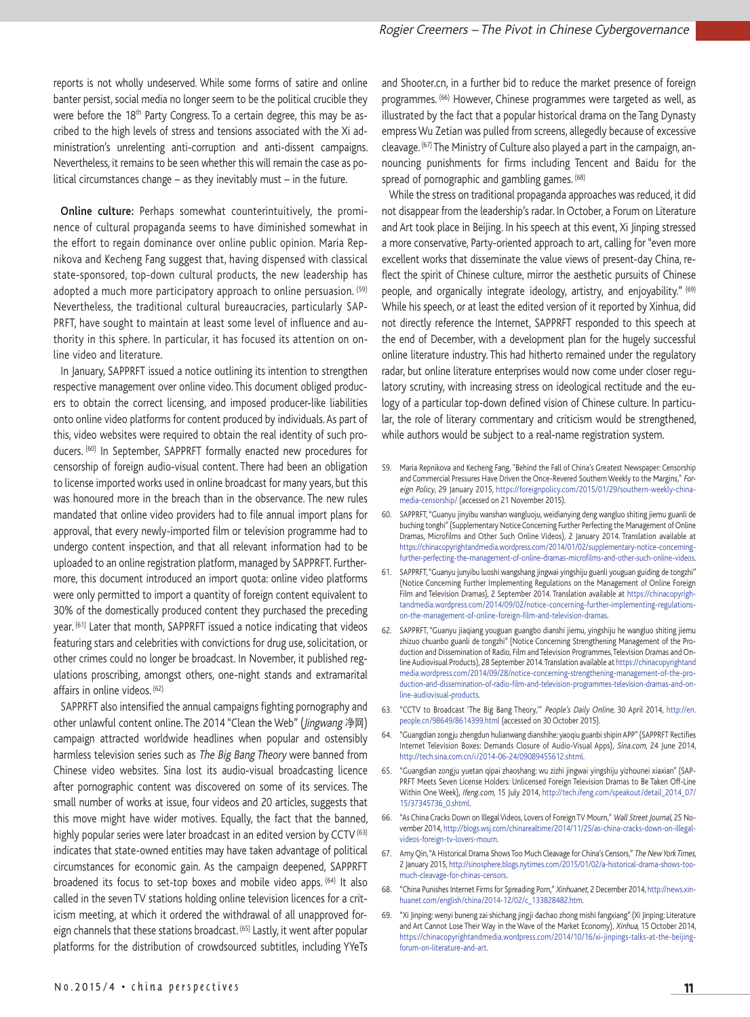reports is not wholly undeserved. While some forms of satire and online banter persist, social media no longer seem to be the political crucible they were before the 18<sup>th</sup> Party Congress. To a certain degree, this may be ascribed to the high levels of stress and tensions associated with the Xi administration's unrelenting anti-corruption and anti-dissent campaigns. Nevertheless, it remains to be seen whether this will remain the case as political circumstances change – as they inevitably must – in the future.

**Online culture:** Perhaps somewhat counterintuitively, the prominence of cultural propaganda seems to have diminished somewhat in the effort to regain dominance over online public opinion. Maria Repnikova and Kecheng Fang suggest that, having dispensed with classical state-sponsored, top-down cultural products, the new leadership has adopted a much more participatory approach to online persuasion. (59) Nevertheless, the traditional cultural bureaucracies, particularly SAP-PRFT, have sought to maintain at least some level of influence and authority in this sphere. In particular, it has focused its attention on online video and literature.

In January, SAPPRFT issued a notice outlining its intention to strengthen respective management over online video. This document obliged producers to obtain the correct licensing, and imposed producer-like liabilities onto online video platforms for content produced by individuals.As part of this, video websites were required to obtain the real identity of such producers. (60) In September, SAPPRFT formally enacted new procedures for censorship of foreign audio-visual content. There had been an obligation to license imported works used in online broadcast for many years, but this was honoured more in the breach than in the observance. The new rules mandated that online video providers had to file annual import plans for approval, that every newly-imported film or television programme had to undergo content inspection, and that all relevant information had to be uploaded to an online registration platform, managed by SAPPRFT. Furthermore, this document introduced an import quota: online video platforms were only permitted to import a quantity of foreign content equivalent to 30% of the domestically produced content they purchased the preceding year. (61) Later that month, SAPPRFT issued a notice indicating that videos featuring stars and celebrities with convictions for drug use, solicitation, or other crimes could no longer be broadcast. In November, it published regulations proscribing, amongst others, one-night stands and extramarital affairs in online videos. (62)

SAPPRFT also intensified the annual campaigns fighting pornography and other unlawful content online. The 2014 "Clean the Web" (Jingwang 净网) campaign attracted worldwide headlines when popular and ostensibly harmless television series such as The Big Bang Theory were banned from Chinese video websites. Sina lost its audio-visual broadcasting licence after pornographic content was discovered on some of its services. The small number of works at issue, four videos and 20 articles, suggests that this move might have wider motives. Equally, the fact that the banned, highly popular series were later broadcast in an edited version by CCTV<sup>(63)</sup> indicates that state-owned entities may have taken advantage of political circumstances for economic gain. As the campaign deepened, SAPPRFT broadened its focus to set-top boxes and mobile video apps. (64) It also called in the seven TV stations holding online television licences for a criticism meeting, at which it ordered the withdrawal of all unapproved foreign channels that these stations broadcast. <sup>(65)</sup> Lastly, it went after popular platforms for the distribution of crowdsourced subtitles, including YYeTs

and Shooter.cn, in a further bid to reduce the market presence of foreign programmes. (66) However, Chinese programmes were targeted as well, as illustrated by the fact that a popular historical drama on the Tang Dynasty empressWu Zetian was pulled from screens, allegedly because of excessive cleavage. (67) The Ministry of Culture also played a part in the campaign, announcing punishments for firms including Tencent and Baidu for the spread of pornographic and gambling games. <sup>(68)</sup>

While the stress on traditional propaganda approaches was reduced, it did not disappear from the leadership's radar. In October, a Forum on Literature and Art took place in Beijing. In his speech at this event, Xi Jinping stressed a more conservative, Party-oriented approach to art, calling for "even more excellent works that disseminate the value views of present-day China, reflect the spirit of Chinese culture, mirror the aesthetic pursuits of Chinese people, and organically integrate ideology, artistry, and enjoyability." (69) While his speech, or at least the edited version of it reported by Xinhua, did not directly reference the Internet, SAPPRFT responded to this speech at the end of December, with a development plan for the hugely successful online literature industry. This had hitherto remained under the regulatory radar, but online literature enterprises would now come under closer regulatory scrutiny, with increasing stress on ideological rectitude and the eulogy of a particular top-down defined vision of Chinese culture. In particular, the role of literary commentary and criticism would be strengthened, while authors would be subject to a real-name registration system.

- 59. Maria Repnikova and Kecheng Fang, "Behind the Fall of China's Greatest Newspaper: Censorship and Commercial Pressures Have Driven the Once-Revered Southern Weekly to the Margins," Foreign Policy, 29 January 2015, https://foreignpolicy.com/2015/01/29/southern-weekly-chinamedia-censorship/ (accessed on 21 November 2015).
- 60. SAPPRFT,"Guanyu jinyibu wanshan wangluoju, weidianying deng wangluo shiting jiemu guanli de buching tonghi"(Supplementary Notice Concerning Further Perfecting the Management of Online Dramas, Microfilms and Other Such Online Videos), 2 January 2014. Translation available at https://chinacopyrightandmedia.wordpress.com/2014/01/02/supplementary-notice-concerningfurther-perfecting-the-management-of-online-dramas-microfilms-and-other-such-online-videos.
- 61. SAPPRFT,"Guanyu junyibu luoshi wangshang jingwai yingshiju guanli youguan guiding de tongzhi" (Notice Concerning Further Implementing Regulations on the Management of Online Foreign Film and Television Dramas), 2 September 2014. Translation available at https://chinacopyrightandmedia.wordpress.com/2014/09/02/notice-concerning-further-implementing-regulationson-the-management-of-online-foreign-film-and-television-dramas.
- 62. SAPPRFT,"Guanyu jiaqiang youguan guangbo dianshi jiemu, yingshiju he wangluo shiting jiemu zhizuo chuanbo guanli de tongzhi" (Notice Concerning Strengthening Management of the Production and Dissemination of Radio, Film and Television Programmes, Television Dramas and Online Audiovisual Products), 28 September 2014.Translation available at https://chinacopyrightand media.wordpress.com/2014/09/28/notice-concerning-strengthening-management-of-the-production-and-dissemination-of-radio-film-and-television-programmes-television-dramas-and-online-audiovisual-products.
- 63. "CCTV to Broadcast 'The Big Bang Theory,'" People's Daily Online, 30 April 2014, http://en. people.cn/98649/8614399.html (accessed on 30 October 2015).
- 64. "Guangdian zongju zhengdun hulianwang dianshihe: yaoqiu guanbi shipin APP"(SAPPRFT Rectifies Internet Television Boxes: Demands Closure of Audio-Visual Apps), Sina.com, 24 June 2014, http://tech.sina.com.cn/i/2014-06-24/09089455612.shtml.
- 65. "Guangdian zongju yuetan qipai zhaoshang: wu zizhi jingwai yingshiju yizhounei xiaxian" (SAP-PRFT Meets Seven License Holders: Unlicensed Foreign Television Dramas to Be Taken Off-Line Within One Week), Ifeng.com, 15 July 2014, http://tech.ifeng.com/speakout/detail\_2014\_07/ 15/37345736\_0.shtml.
- 66. "As China Cracks Down on Illegal Videos, Lovers of Foreign TV Mourn," Wall Street Journal, 25 November 2014, http://blogs.wsj.com/chinarealtime/2014/11/25/as-china-cracks-down-on-illegalvideos-foreign-tv-lovers-mourn.
- 67. Amy Qin, "A Historical Drama Shows Too Much Cleavage for China's Censors," The New York Times, 2 January 2015, http://sinosphere.blogs.nytimes.com/2015/01/02/a-historical-drama-shows-toomuch-cleavage-for-chinas-censors.
- 68. "China Punishes Internet Firms for Spreading Porn," Xinhuanet, 2 December 2014, http://news.xinhuanet.com/english/china/2014-12/02/c\_133828482.htm.
- 69. "Xi Jinping:wenyi buneng zai shichang jingji dachao zhong mishi fangxiang"(Xi Jinping: Literature and Art Cannot Lose Their Way in the Wave of the Market Economy), Xinhua, 15 October 2014, https://chinacopyrightandmedia.wordpress.com/2014/10/16/xi-jinpings-talks-at-the-beijingforum-on-literature-and-art.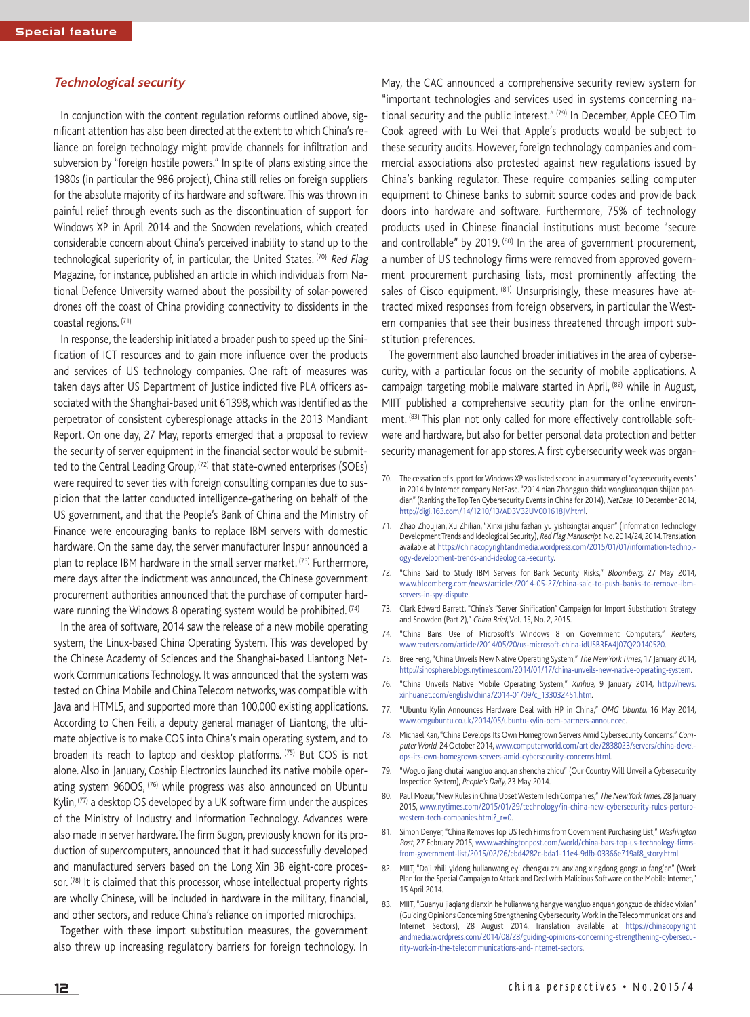## **Technological security**

In conjunction with the content regulation reforms outlined above, significant attention has also been directed at the extent to which China's reliance on foreign technology might provide channels for infiltration and subversion by "foreign hostile powers." In spite of plans existing since the 1980s (in particular the 986 project), China still relies on foreign suppliers for the absolute majority of its hardware and software. This was thrown in painful relief through events such as the discontinuation of support for Windows XP in April 2014 and the Snowden revelations, which created considerable concern about China's perceived inability to stand up to the technological superiority of, in particular, the United States. (70) Red Flag Magazine, for instance, published an article in which individuals from National Defence University warned about the possibility of solar-powered drones off the coast of China providing connectivity to dissidents in the coastal regions. (71)

In response, the leadership initiated a broader push to speed up the Sinification of ICT resources and to gain more influence over the products and services of US technology companies. One raft of measures was taken days after US Department of Justice indicted five PLA officers associated with the Shanghai-based unit 61398, which was identified as the perpetrator of consistent cyberespionage attacks in the 2013 Mandiant Report. On one day, 27 May, reports emerged that a proposal to review the security of server equipment in the financial sector would be submitted to the Central Leading Group, (72) that state-owned enterprises (SOEs) were required to sever ties with foreign consulting companies due to suspicion that the latter conducted intelligence-gathering on behalf of the US government, and that the People's Bank of China and the Ministry of Finance were encouraging banks to replace IBM servers with domestic hardware. On the same day, the server manufacturer Inspur announced a plan to replace IBM hardware in the small server market. (73) Furthermore, mere days after the indictment was announced, the Chinese government procurement authorities announced that the purchase of computer hardware running the Windows 8 operating system would be prohibited. <sup>(74)</sup>

In the area of software, 2014 saw the release of a new mobile operating system, the Linux-based China Operating System. This was developed by the Chinese Academy of Sciences and the Shanghai-based Liantong Network Communications Technology. It was announced that the system was tested on China Mobile and China Telecom networks, was compatible with Java and HTML5, and supported more than 100,000 existing applications. According to Chen Feili, a deputy general manager of Liantong, the ultimate objective is to make COS into China's main operating system, and to broaden its reach to laptop and desktop platforms. (75) But COS is not alone. Also in January, Coship Electronics launched its native mobile operating system 960OS, <sup>(76)</sup> while progress was also announced on Ubuntu Kylin,  $(77)$  a desktop OS developed by a UK software firm under the auspices of the Ministry of Industry and Information Technology. Advances were also made in server hardware.The firm Sugon, previously known for its production of supercomputers, announced that it had successfully developed and manufactured servers based on the Long Xin 3B eight-core processor. (78) It is claimed that this processor, whose intellectual property rights are wholly Chinese, will be included in hardware in the military, financial, and other sectors, and reduce China's reliance on imported microchips.

Together with these import substitution measures, the government also threw up increasing regulatory barriers for foreign technology. In

May, the CAC announced a comprehensive security review system for "important technologies and services used in systems concerning national security and the public interest." (79) In December, Apple CEO Tim Cook agreed with Lu Wei that Apple's products would be subject to these security audits. However, foreign technology companies and commercial associations also protested against new regulations issued by China's banking regulator. These require companies selling computer equipment to Chinese banks to submit source codes and provide back doors into hardware and software. Furthermore, 75% of technology products used in Chinese financial institutions must become "secure and controllable" by 2019. <sup>(80)</sup> In the area of government procurement, a number of US technology firms were removed from approved government procurement purchasing lists, most prominently affecting the sales of Cisco equipment. <sup>(81)</sup> Unsurprisingly, these measures have attracted mixed responses from foreign observers, in particular the Western companies that see their business threatened through import substitution preferences.

The government also launched broader initiatives in the area of cybersecurity, with a particular focus on the security of mobile applications. A campaign targeting mobile malware started in April, <sup>(82)</sup> while in August, MIIT published a comprehensive security plan for the online environment. (83) This plan not only called for more effectively controllable software and hardware, but also for better personal data protection and better security management for app stores. A first cybersecurity week was organ-

- 70. The cessation of support for Windows XP was listed second in a summary of "cybersecurity events" in 2014 by Internet company NetEase."2014 nian Zhongguo shida wangluoanquan shijian pandian" (Ranking the Top Ten Cybersecurity Events in China for 2014), NetEase, 10 December 2014, http://digi.163.com/14/1210/13/AD3V32UV001618JV.html.
- 71. Zhao Zhoujian, Xu Zhilian, "Xinxi jishu fazhan yu yishixingtai anquan" (Information Technology Development Trends and Ideological Security), Red Flag Manuscript, No. 2014/24, 2014. Translation available at https://chinacopyrightandmedia.wordpress.com/2015/01/01/information-technology-development-trends-and-ideological-security.
- 72. "China Said to Study IBM Servers for Bank Security Risks," Bloomberg, 27 May 2014, www.bloomberg.com/news/articles/2014-05-27/china-said-to-push-banks-to-remove-ibmservers-in-spy-dispute.
- 73. Clark Edward Barrett, "China's "Server Sinification" Campaign for Import Substitution: Strategy and Snowden (Part 2)," China Brief, Vol. 15, No. 2, 2015.
- 74. "China Bans Use of Microsoft's Windows 8 on Government Computers," Reuters, www.reuters.com/article/2014/05/20/us-microsoft-china-idUSBREA4J07Q20140520.
- 75. Bree Feng, "China Unveils New Native Operating System," The New York Times, 17 January 2014, http://sinosphere.blogs.nytimes.com/2014/01/17/china-unveils-new-native-operating-system.
- 76. "China Unveils Native Mobile Operating System," Xinhua, 9 January 2014, http://news. xinhuanet.com/english/china/2014-01/09/c\_133032451.htm.
- 77. "Ubuntu Kylin Announces Hardware Deal with HP in China," OMG Ubuntu, 16 May 2014, www.omgubuntu.co.uk/2014/05/ubuntu-kylin-oem-partners-announced.
- 78. Michael Kan, "China Develops Its Own Homegrown Servers Amid Cybersecurity Concerns," ComputerWorld, 24 October 2014, www.computerworld.com/article/2838023/servers/china-develops-its-own-homegrown-servers-amid-cybersecurity-concerns.html.
- 79. "Woguo jiang chutai wangluo anquan shencha zhidu" (Our Country Will Unveil a Cybersecurity Inspection System), People's Daily, 23 May 2014.
- 80. Paul Mozur, "New Rules in China Upset Western Tech Companies," The New York Times, 28 January 2015, www.nytimes.com/2015/01/29/technology/in-china-new-cybersecurity-rules-perturbwestern-tech-companies.html? r=0.
- 81. Simon Denyer, "China Removes Top US Tech Firms from Government Purchasing List," Washington Post, 27 February 2015, www.washingtonpost.com/world/china-bars-top-us-technology-firmsfrom-government-list/2015/02/26/ebd4282c-bda1-11e4-9dfb-03366e719af8\_story.html.
- 82. MIIT, "Daji zhili yidong hulianwang eyi chengxu zhuanxiang xingdong gongzuo fang'an" (Work Plan for the Special Campaign to Attack and Deal with Malicious Software on the Mobile Internet," 15 April 2014.
- 83. MIIT, "Guanyu jiaqiang dianxin he hulianwang hangye wangluo anquan gongzuo de zhidao yixian" (Guiding Opinions Concerning Strengthening CybersecurityWork in the Telecommunications and Internet Sectors), 28 August 2014. Translation available at https://chinacopyright andmedia.wordpress.com/2014/08/28/guiding-opinions-concerning-strengthening-cybersecurity-work-in-the-telecommunications-and-internet-sectors.